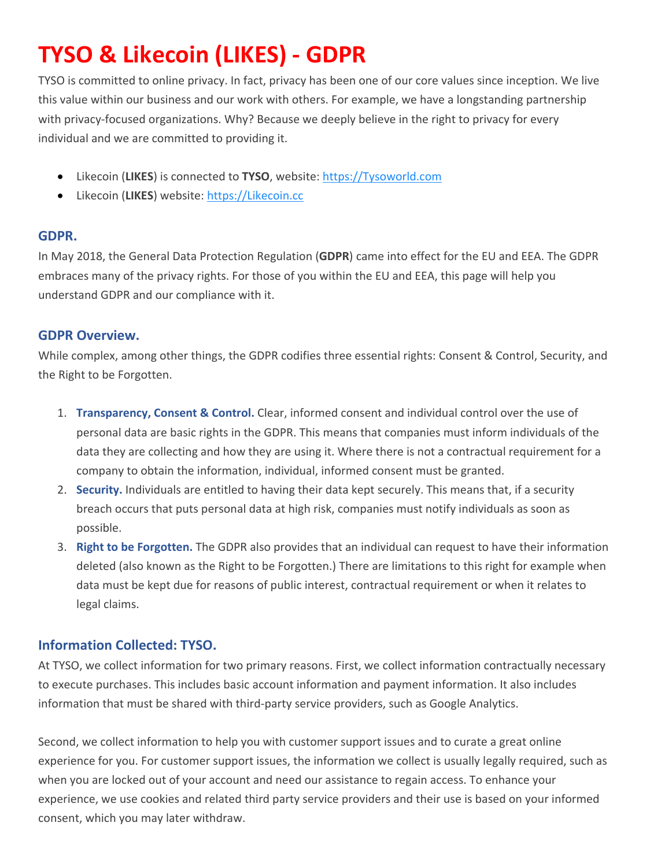# **TYSO & Likecoin (LIKES) - GDPR**

TYSO is committed to online privacy. In fact, privacy has been one of our core values since inception. We live this value within our business and our work with others. For example, we have a longstanding partnership with privacy-focused organizations. Why? Because we deeply believe in the right to privacy for every individual and we are committed to providing it.

- Likecoin (**LIKES**) is connected to **TYSO**, website: [https://Tysoworld.com](https://tysoworld.com/)
- Likecoin (**LIKES**) website: [https://Likecoin.cc](https://likecoin.cc/)

## **GDPR.**

In May 2018, the General Data Protection Regulation (**GDPR**) came into effect for the EU and EEA. The GDPR embraces many of the privacy rights. For those of you within the EU and EEA, this page will help you understand GDPR and our compliance with it.

## **GDPR Overview.**

While complex, among other things, the GDPR codifies three essential rights: Consent & Control, Security, and the Right to be Forgotten.

- 1. **Transparency, Consent & Control.** Clear, informed consent and individual control over the use of personal data are basic rights in the GDPR. This means that companies must inform individuals of the data they are collecting and how they are using it. Where there is not a contractual requirement for a company to obtain the information, individual, informed consent must be granted.
- 2. **Security.** Individuals are entitled to having their data kept securely. This means that, if a security breach occurs that puts personal data at high risk, companies must notify individuals as soon as possible.
- 3. **Right to be Forgotten.** The GDPR also provides that an individual can request to have their information deleted (also known as the Right to be Forgotten.) There are limitations to this right for example when data must be kept due for reasons of public interest, contractual requirement or when it relates to legal claims.

## **Information Collected: TYSO.**

At TYSO, we collect information for two primary reasons. First, we collect information contractually necessary to execute purchases. This includes basic account information and payment information. It also includes information that must be shared with third-party service providers, such as Google Analytics.

Second, we collect information to help you with customer support issues and to curate a great online experience for you. For customer support issues, the information we collect is usually legally required, such as when you are locked out of your account and need our assistance to regain access. To enhance your experience, we use cookies and related third party service providers and their use is based on your informed consent, which you may later withdraw.